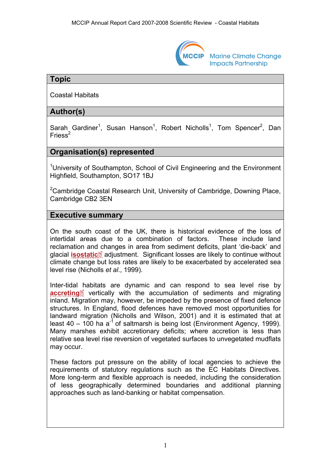

**Marine Climate Change Impacts Partnership** 

## **Topic**

Coastal Habitats

## **Author(s)**

Sarah Gardiner<sup>1</sup>, Susan Hanson<sup>1</sup>, Robert Nicholls<sup>1</sup>, Tom Spencer<sup>2</sup>, Dan Friess $2$ 

## **Organisation(s) represented**

<sup>1</sup>University of Southampton, School of Civil Engineering and the Environment Highfield, Southampton, SO17 1BJ

<sup>2</sup>Cambridge Coastal Research Unit, University of Cambridge, Downing Place, Cambridge CB2 3EN

#### **Executive summary**

On the south coast of the UK, there is historical evidence of the loss of intertidal areas due to a combination of factors. These include land reclamation an[d ch](http://www.mccip.org.uk/arc/2007/glossary.htm)anges in area from sediment deficits, plant 'die-back' and glacial **[isostatic](http://www.mccip.org.uk/arc/2007/glossary.htm#Isostatic)**<sup>®</sup> adjustment. Significant losses are likely to continue without climate change but loss rates are likely to be exacerbated by accelerated sea level rise (Nicholls *et al*., 1999).

Inter-tidal [h](http://www.mccip.org.uk/arc/2007/glossary.htm)abitats are dynamic and can respond to sea level rise by **[accreting](http://www.mccip.org.uk/arc/2007/glossary.htm#Accretion)**<sup>1</sup> vertically with the accumulation of sediments and migrating inland. Migration may, however, be impeded by the presence of fixed defence structures. In England, flood defences have removed most opportunities for landward migration (Nicholls and Wilson, 2001) and it is estimated that at least 40 – 100 ha  $a^{-1}$  of saltmarsh is being lost (Environment Agency, 1999). Many marshes exhibit accretionary deficits; where accretion is less than relative sea level rise reversion of vegetated surfaces to unvegetated mudflats may occur.

These factors put pressure on the ability of local agencies to achieve the requirements of statutory regulations such as the EC Habitats Directives. More long-term and flexible approach is needed, including the consideration of less geographically determined boundaries and additional planning approaches such as land-banking or habitat compensation.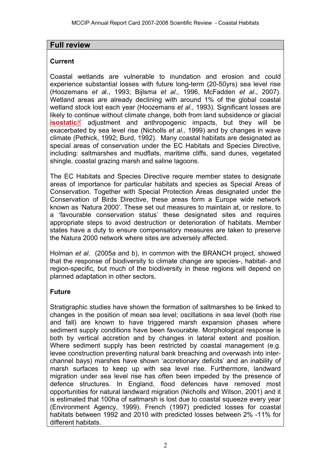## **Full review**

## **Current**

Coastal wetlands are vulnerable to inundation and erosion and could experience substantial losses with future long-term (20-50yrs) sea level rise (Hoozemans *et a*l., 1993; Bijlsma *et al*., 1996, McFadden *et al*., 2007). Wetland areas are already declining with around 1% of the global coastal wetland stock lost each year (Hoozemans *et al*., 1993). Significant losses are likely to [con](http://www.mccip.org.uk/arc/2007/glossary.htm)tinue without climate change, both from land subsidence or glacial **[isostatic](http://www.mccip.org.uk/arc/2007/glossary.htm#Isostatic)**<sup>2</sup> adjustment and anthropogenic impacts, but they will be exacerbated by sea level rise (Nicholls *et al.,* 1999) and by changes in wave climate (Pethick, 1992; Burd, 1992). Many coastal habitats are designated as special areas of conservation under the EC Habitats and Species Directive, including: saltmarshes and mudflats, maritime cliffs, sand dunes, vegetated shingle, coastal grazing marsh and saline lagoons.

The EC Habitats and Species Directive require member states to designate areas of importance for particular habitats and species as Special Areas of Conservation. Together with Special Protection Areas designated under the Conservation of Birds Directive, these areas form a Europe wide network known as 'Natura 2000'. These set out measures to maintain at, or restore, to a 'favourable conservation status' these designated sites and requires appropriate steps to avoid destruction or deterioration of habitats. Member states have a duty to ensure compensatory measures are taken to preserve the Natura 2000 network where sites are adversely affected.

Holman *et al.* (2005a and b), in common with the BRANCH project, showed that the response of biodiversity to climate change are species-, habitat- and region-specific, but much of the biodiversity in these regions will depend on planned adaptation in other sectors.

# **Future**

Stratigraphic studies have shown the formation of saltmarshes to be linked to changes in the position of mean sea level; oscillations in sea level (both rise and fall) are known to have triggered marsh expansion phases where sediment supply conditions have been favourable. Morphological response is both by vertical accretion and by changes in lateral extent and position. Where sediment supply has been restricted by coastal management (e.g. levee construction preventing natural bank breaching and overwash into interchannel bays) marshes have shown 'accretionary deficits' and an inability of marsh surfaces to keep up with sea level rise. Furthermore, landward migration under sea level rise has often been impeded by the presence of defence structures. In England, flood defences have removed most opportunities for natural landward migration (Nicholls and Wilson, 2001) and it is estimated that 100ha of saltmarsh is lost due to coastal squeeze every year (Environment Agency, 1999). French (1997) predicted losses for coastal habitats between 1992 and 2010 with predicted losses between 2% -11% for different habitats.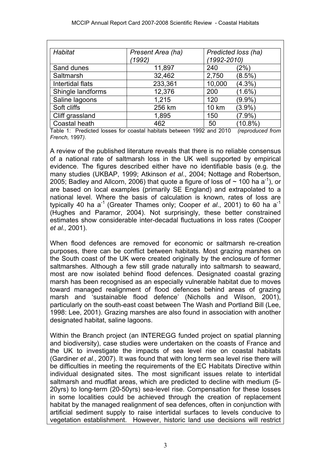| Habitat           | Present Area (ha) | Predicted loss (ha) |
|-------------------|-------------------|---------------------|
|                   | (1992)            | (1992-2010)         |
| Sand dunes        | 11,897            | $(2\%)$<br>240      |
| Saltmarsh         | 32,462            | $(8.5\%)$<br>2,750  |
| Intertidal flats  | 233,361           | 10,000<br>$(4.3\%)$ |
| Shingle landforms | 12,376            | $(1.6\%)$<br>200    |
| Saline lagoons    | 1,215             | $(9.9\%)$<br>120    |
| Soft cliffs       | 256 km            | 10 km<br>$(3.9\%)$  |
| Cliff grassland   | 1,895             | $(7.9\%)$<br>150    |
| Coastal heath     | 462               | $(10.8\%)$<br>50    |

Table 1: Predicted losses for coastal habitats between 1992 and 2010 *(reproduced from French,* 1997*)*.

A review of the published literature reveals that there is no reliable consensus of a national rate of saltmarsh loss in the UK well supported by empirical evidence. The figures described either have no identifiable basis (e.g. the many studies (UKBAP, 1999; Atkinson *et al*., 2004; Nottage and Robertson, 2005; Badley and Allcorn, 2006) that quote a figure of loss of  $\sim$  100 ha a<sup>-1</sup>), or are based on local examples (primarily SE England) and extrapolated to a national level. Where the basis of calculation is known, rates of loss are typically 40 ha a<sup>-1</sup> (Greater Thames only; Cooper *et al.*, 2001) to 60 ha a<sup>-1</sup> (Hughes and Paramor, 2004). Not surprisingly, these better constrained estimates show considerable inter-decadal fluctuations in loss rates (Cooper *et al.,* 2001).

When flood defences are removed for economic or saltmarsh re-creation purposes, there can be conflict between habitats. Most grazing marshes on the South coast of the UK were created originally by the enclosure of former saltmarshes. Although a few still grade naturally into saltmarsh to seaward, most are now isolated behind flood defences. Designated coastal grazing marsh has been recognised as an especially vulnerable habitat due to moves toward managed realignment of flood defences behind areas of grazing marsh and 'sustainable flood defence' (Nicholls and Wilson, 2001), particularly on the south-east coast between The Wash and Portland Bill (Lee, 1998: Lee, 2001). Grazing marshes are also found in association with another designated habitat, saline lagoons.

Within the Branch project (an INTEREGG funded project on spatial planning and biodiversity), case studies were undertaken on the coasts of France and the UK to investigate the impacts of sea level rise on coastal habitats (Gardiner *et al*., 2007). It was found that with long term sea level rise there will be difficulties in meeting the requirements of the EC Habitats Directive within individual designated sites. The most significant issues relate to intertidal saltmarsh and mudflat areas, which are predicted to decline with medium (5- 20yrs) to long-term (20-50yrs) sea-level rise. Compensation for these losses in some localities could be achieved through the creation of replacement habitat by the managed realignment of sea defences, often in conjunction with artificial sediment supply to raise intertidal surfaces to levels conducive to vegetation establishment. However, historic land use decisions will restrict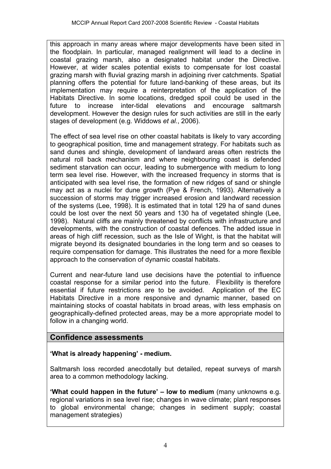this approach in many areas where major developments have been sited in the floodplain. In particular, managed realignment will lead to a decline in coastal grazing marsh, also a designated habitat under the Directive. However, at wider scales potential exists to compensate for lost coastal grazing marsh with fluvial grazing marsh in adjoining river catchments. Spatial planning offers the potential for future land-banking of these areas, but its implementation may require a reinterpretation of the application of the Habitats Directive. In some locations, dredged spoil could be used in the future to increase inter-tidal elevations and encourage saltmarsh development. However the design rules for such activities are still in the early stages of development (e.g. Widdows *et al.*, 2006).

The effect of sea level rise on other coastal habitats is likely to vary according to geographical position, time and management strategy. For habitats such as sand dunes and shingle, development of landward areas often restricts the natural roll back mechanism and where neighbouring coast is defended sediment starvation can occur, leading to submergence with medium to long term sea level rise. However, with the increased frequency in storms that is anticipated with sea level rise, the formation of new ridges of sand or shingle may act as a nuclei for dune growth (Pye & French, 1993). Alternatively a succession of storms may trigger increased erosion and landward recession of the systems (Lee, 1998). It is estimated that in total 129 ha of sand dunes could be lost over the next 50 years and 130 ha of vegetated shingle (Lee, 1998). Natural cliffs are mainly threatened by conflicts with infrastructure and developments, with the construction of coastal defences. The added issue in areas of high cliff recession, such as the Isle of Wight, is that the habitat will migrate beyond its designated boundaries in the long term and so ceases to require compensation for damage. This illustrates the need for a more flexible approach to the conservation of dynamic coastal habitats.

Current and near-future land use decisions have the potential to influence coastal response for a similar period into the future. Flexibility is therefore essential if future restrictions are to be avoided. Application of the EC Habitats Directive in a more responsive and dynamic manner, based on maintaining stocks of coastal habitats in broad areas, with less emphasis on geographically-defined protected areas, may be a more appropriate model to follow in a changing world.

# **Confidence assessments**

### **'What is already happening' - medium.**

Saltmarsh loss recorded anecdotally but detailed, repeat surveys of marsh area to a common methodology lacking.

**'What could happen in the future' – low to medium** (many unknowns e.g. regional variations in sea level rise; changes in wave climate; plant responses to global environmental change; changes in sediment supply; coastal management strategies)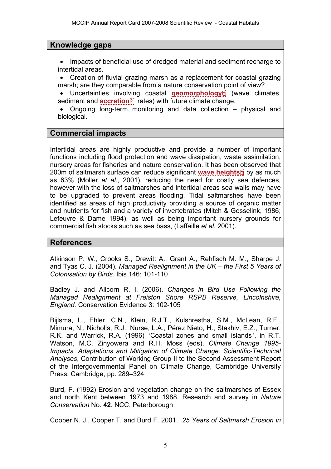## **Knowledge gaps**

• Impacts of beneficial use of dredged material and sediment recharge to intertidal areas.

• Creation of fluvial grazing marsh as a replacement for coastal grazing marsh; are they comparable from a nature conservatio[n po](http://www.mccip.org.uk/arc/2007/glossary.htm)int of view?

Uncertainties invo[lvin](http://www.mccip.org.uk/arc/2007/glossary.htm)g coastal **[geomorphology](http://www.mccip.org.uk/arc/2007/glossary.htm#Geomorphology)**<sup><sup>2</sup> (wave climates,</sup> sediment and **accretion**<sup>1</sup> rates) with future climate change.

• Ongoing long-term monitoring and data collection – physical and biological.

### **Commercial impacts**

Intertidal areas are highly productive and provide a number of important functions including flood protection and wave dissipation, waste assimilation, nursery areas for fisheries and nature conservation. It has been [ob](http://www.mccip.org.uk/arc/2007/glossary.htm)served that 200m of saltmarsh surface can reduce significant **[wave heights](http://www.mccip.org.uk/arc/2007/glossary.htm#Wave_height)** by as much as 63% (Moller *et al*., 2001), reducing the need for costly sea defences, however with the loss of saltmarshes and intertidal areas sea walls may have to be upgraded to prevent areas flooding. Tidal saltmarshes have been identified as areas of high productivity providing a source of organic matter and nutrients for fish and a variety of invertebrates (Mitch & Gosselink, 1986; Lefeuvre & Dame 1994), as well as being important nursery grounds for commercial fish stocks such as sea bass, (Laffaille *et al.* 2001).

### **References**

Atkinson P. W., Crooks S., Drewitt A., Grant A., Rehfisch M. M., Sharpe J. and Tyas C. J. (2004). *Managed Realignment in the UK – the First 5 Years of Colonisation by Birds.* Ibis 146: 101-110

Badley J. and Allcorn R. I. (2006). *Changes in Bird Use Following the Managed Realignment at Freiston Shore RSPB Reserve, Lincolnshire, England.* Conservation Evidence 3: 102-105

Bijlsma, L., Ehler, C.N., Klein, R.J.T., Kulshrestha, S.M., McLean, R.F., Mimura, N., Nicholls, R.J., Nurse, L.A., Pérez Nieto, H., Stakhiv, E.Z., Turner, R.K. and Warrick, R.A. (1996) 'Coastal zones and small islands', in R.T. Watson, M.C. Zinyowera and R.H. Moss (eds), *Climate Change 1995- Impacts, Adaptations and Mitigation of Climate Change: Scientific-Technical Analyses*, Contribution of Working Group II to the Second Assessment Report of the Intergovernmental Panel on Climate Change, Cambridge University Press, Cambridge, pp. 289–324

Burd, F. (1992) Erosion and vegetation change on the saltmarshes of Essex and north Kent between 1973 and 1988. Research and survey in *Nature Conservation* No. **42**. NCC, Peterborough

Cooper N. J., Cooper T. and Burd F. 2001. *25 Years of Saltmarsh Erosion in*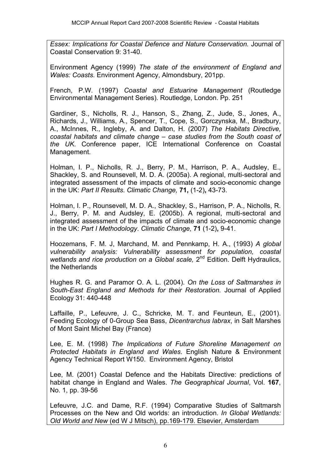*Essex: Implications for Coastal Defence and Nature Conservation.* Journal of Coastal Conservation 9: 31-40.

Environment Agency (1999) *The state of the environment of England and Wales: Coasts*. Environment Agency, Almondsbury, 201pp.

French, P.W. (1997) *Coastal and Estuarine Management* (Routledge Environmental Management Series). Routledge, London. Pp. 251

Gardiner, S., Nicholls, R. J., Hanson, S., Zhang, Z., Jude, S., Jones, A., Richards, J., Williams, A., Spencer, T., Cope, S., Gorczynska, M., Bradbury, A., McInnes, R., Ingleby, A. and Dalton, H. (2007) *The Habitats Directive, coastal habitats and climate change – case studies from the South coast of the UK*. Conference paper, ICE International Conference on Coastal Management.

Holman, I. P., Nicholls, R. J., Berry, P. M., Harrison, P. A., Audsley, E., Shackley, S. and Rounsevell, M. D. A. (2005a). A regional, multi-sectoral and integrated assessment of the impacts of climate and socio-economic change in the UK: *Part II Results*. *Climatic Change,* **71,** (1-2)**,** 43-73.

Holman, I. P., Rounsevell, M. D. A., Shackley, S., Harrison, P. A., Nicholls, R. J., Berry, P. M. and Audsley, E. (2005b). A regional, multi-sectoral and integrated assessment of the impacts of climate and socio-economic change in the UK: *Part I Methodology*. *Climatic Change,* **71** (1-2)**,** 9-41.

Hoozemans, F. M. J, Marchand, M. and Pennkamp, H. A., (1993) *A global vulnerability analysis: Vulnerability assessment for population, coastal wetlands and rice production on a Global scale,* 2nd Edition. Delft Hydraulics, the Netherlands

Hughes R. G. and Paramor O. A. L. (2004). *On the Loss of Saltmarshes in South-East England and Methods for their Restoration.* Journal of Applied Ecology 31: 440-448

Laffaille, P., Lefeuvre, J. C., Schricke, M. T. and Feunteun, E., (2001). Feeding Ecology of 0-Group Sea Bass, *Dicentrarchus labrax*, in Salt Marshes of Mont Saint Michel Bay (France)

Lee, E. M. (1998) *The Implications of Future Shoreline Management on Protected Habitats in England and Wales*. English Nature & Environment Agency Technical Report W150. Environment Agency, Bristol

Lee, M. (2001) Coastal Defence and the Habitats Directive: predictions of habitat change in England and Wales. *The Geographical Journal*, Vol. **167**, No. 1, pp. 39-56

Lefeuvre, J.C. and Dame, R.F. (1994) Comparative Studies of Saltmarsh Processes on the New and Old worlds: an introduction. *In Global Wetlands: Old World and New* (ed W J Mitsch), pp.169-179. Elsevier, Amsterdam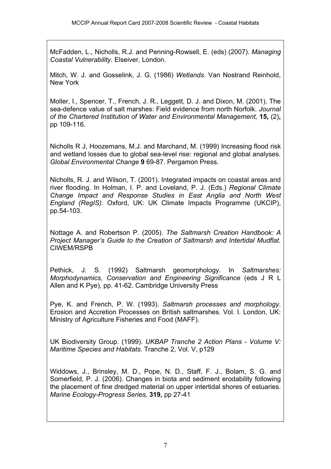McFadden, L., Nicholls, R.J. and Penning-Rowsell, E. (eds) (2007). *Managing Coastal Vulnerability*. Elseiver, London.

Mitch, W. J. and Gosselink, J. G. (1986) *Wetlands*. Van Nostrand Reinhold, New York

Moller, I., Spencer, T., French, J. R., Leggett, D. J. and Dixon, M. (2001). The sea-defence value of salt marshes: Field evidence from north Norfolk. *Journal of the Chartered Institution of Water and Environmental Management,* **15,** (2)**,** pp 109-116.

Nicholls R J, Hoozemans, M.J. and Marchand, M. (1999) Increasing flood risk and wetland losses due to global sea-level rise: regional and global analyses*. Global Environmental Change* **9** 69-87. Pergamon Press.

Nicholls, R. J. and Wilson, T. (2001). Integrated impacts on coastal areas and river flooding. In Holman, I. P. and Loveland, P. J. (Eds.) *Regional Climate Change Impact and Response Studies in East Anglia and North West England (RegIS).* Oxford, UK: UK Climate Impacts Programme (UKCIP), pp.54-103.

Nottage A. and Robertson P. (2005). *The Saltmarsh Creation Handbook: A Project Manager's Guide to the Creation of Saltmarsh and Intertidal Mudflat.*  CIWEM/RSPB

Pethick, J. S. (1992) Saltmarsh geomorphology. In *Saltmarshes: Morphodynamics, Conservation and Engineering Significance* (eds J R L Allen and K Pye), pp. 41-62. Cambridge University Press

Pye, K. and French, P. W. (1993). *Saltmarsh processes and morphology*. Erosion and Accretion Processes on British saltmarshes. Vol. I. London, UK: Ministry of Agriculture Fisheries and Food (MAFF).

UK Biodiversity Group. (1999). *UKBAP Tranche 2 Action Plans - Volume V: Maritime Species and Habitats.* Tranche 2, Vol. V, p129

Widdows, J., Brinsley, M. D., Pope, N. D., Staff, F. J., Bolam, S. G. and Somerfield, P. J. (2006). Changes in biota and sediment erodability following the placement of fine dredged material on upper intertidal shores of estuaries. *Marine Ecology-Progress Series,* **319,** pp 27-41